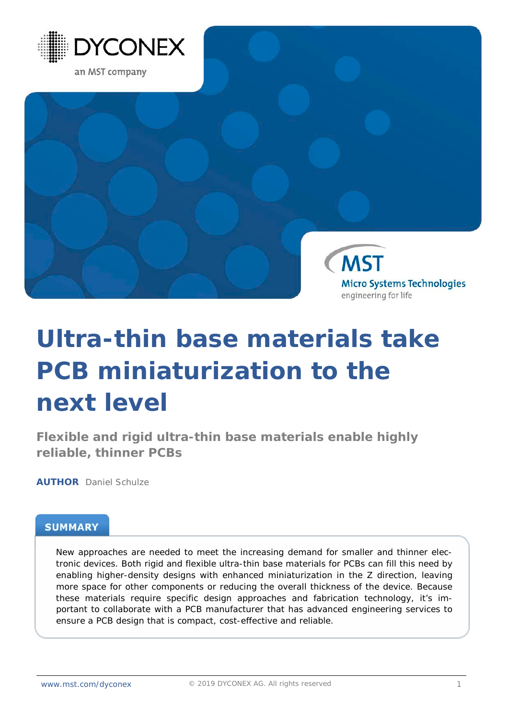



# **Ultra-thin base materials take PCB miniaturization to the next level**

**Flexible and rigid ultra-thin base materials enable highly reliable, thinner PCBs**

**AUTHOR** Daniel Schulze

## **SUMMARY**

New approaches are needed to meet the increasing demand for smaller and thinner electronic devices. Both rigid and flexible ultra-thin base materials for PCBs can fill this need by enabling higher-density designs with enhanced miniaturization in the Z direction, leaving more space for other components or reducing the overall thickness of the device. Because these materials require specific design approaches and fabrication technology, it's important to collaborate with a PCB manufacturer that has advanced engineering services to ensure a PCB design that is compact, cost-effective and reliable.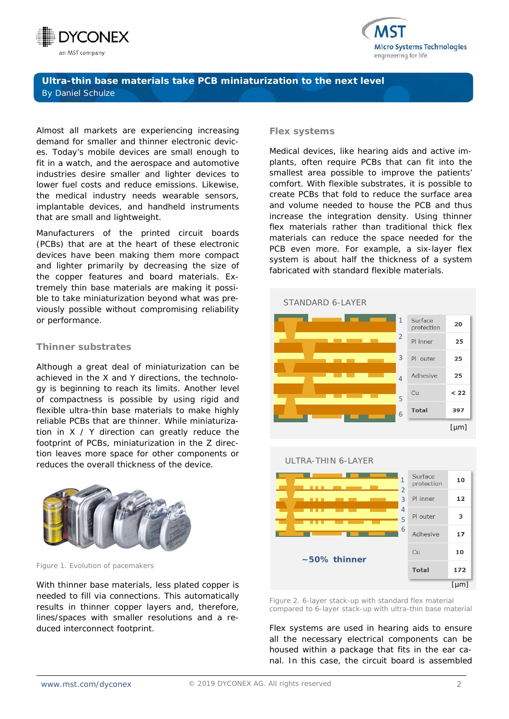



Almost all markets are experiencing increasing demand for smaller and thinner electronic devices. Today's mobile devices are small enough to fit in a watch, and the aerospace and automotive industries desire smaller and lighter devices to lower fuel costs and reduce emissions. Likewise, the medical industry needs wearable sensors, implantable devices, and handheld instruments that are small and lightweight.

Manufacturers of the printed circuit boards (PCBs) that are at the heart of these electronic devices have been making them more compact and lighter primarily by decreasing the size of the copper features and board materials. Extremely thin base materials are making it possible to take miniaturization beyond what was previously possible without compromising reliability or performance.

#### **Thinner substrates**

Although a great deal of miniaturization can be achieved in the X and Y directions, the technology is beginning to reach its limits. Another level of compactness is possible by using rigid and flexible ultra-thin base materials to make highly reliable PCBs that are thinner. While miniaturization in X / Y direction can greatly reduce the footprint of PCBs, miniaturization in the Z direction leaves more space for other components or reduces the overall thickness of the device.



*Figure 1. Evolution of pacemakers*

With thinner base materials, less plated copper is needed to fill via connections. This automatically results in thinner copper layers and, therefore, lines/spaces with smaller resolutions and a reduced interconnect footprint.

#### **Flex systems**

Medical devices, like hearing aids and active implants, often require PCBs that can fit into the smallest area possible to improve the patients' comfort. With flexible substrates, it is possible to create PCBs that fold to reduce the surface area and volume needed to house the PCB and thus increase the integration density. Using thinner flex materials rather than traditional thick flex materials can reduce the space needed for the PCB even more. For example, a six-layer flex system is about half the thickness of a system fabricated with standard flexible materials.

#### STANDARD 6-LAYER





*Figure 2. 6-layer stack-up with standard flex material compared to 6-layer stack-up with ultra-thin base material*

Flex systems are used in hearing aids to ensure all the necessary electrical components can be housed within a package that fits in the ear canal. In this case, the circuit board is assembled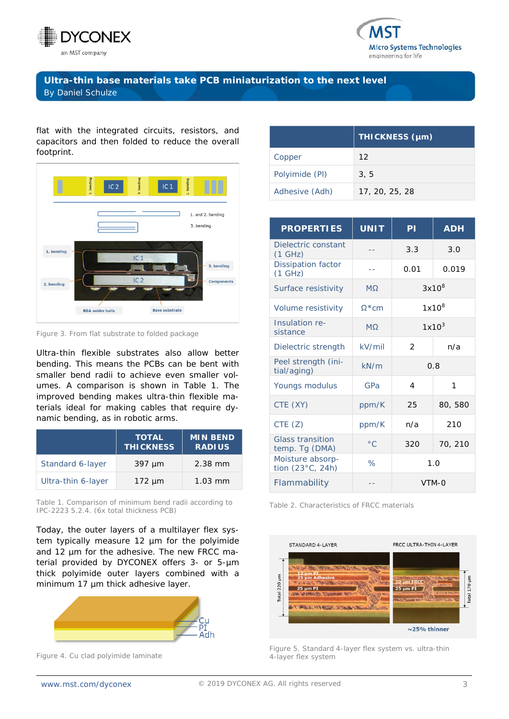



flat with the integrated circuits, resistors, and capacitors and then folded to reduce the overall footprint.



*Figure 3. From flat substrate to folded package*

Ultra-thin flexible substrates also allow better bending. This means the PCBs can be bent with smaller bend radii to achieve even smaller volumes. A comparison is shown in Table 1. The improved bending makes ultra-thin flexible materials ideal for making cables that require dynamic bending, as in robotic arms.

|                    | <b>TOTAL</b><br><b>THICKNESS</b> | <b>MIN BEND</b><br><b>RADIUS</b> |
|--------------------|----------------------------------|----------------------------------|
| Standard 6-layer   | $397 \mu m$                      | $2.38$ mm                        |
| Ultra-thin 6-layer | $172 \mu m$                      | $1.03$ mm                        |

*Table 1. Comparison of minimum bend radii according to IPC-2223 5.2.4. (6x total thickness PCB)*

Today, the outer layers of a multilayer flex system typically measure 12 µm for the polyimide and 12 um for the adhesive. The new FRCC material provided by DYCONEX offers 3- or 5-µm thick polyimide outer layers combined with a minimum 17 µm thick adhesive layer.



*Figure 4. Cu clad polyimide laminate*

|                | THICKNESS (µm)  |  |  |
|----------------|-----------------|--|--|
| Copper         | 12 <sup>°</sup> |  |  |
| Polyimide (PI) | 3, 5            |  |  |
| Adhesive (Adh) | 17, 20, 25, 28  |  |  |

| <b>PROPERTIES</b>                         | <b>UNIT</b>   | ΡI            | <b>ADH</b> |
|-------------------------------------------|---------------|---------------|------------|
| Dielectric constant<br>(1 GHz)            |               | 3.3           | 3.0        |
| <b>Dissipation factor</b><br>(1 GHz)      |               | 0.01          | 0.019      |
| Surface resistivity                       | <b>MQ</b>     | $3x10^8$      |            |
| Volume resistivity                        | $Q*cm$        | $1x10^8$      |            |
| Insulation re-<br>sistance                | <b>MO</b>     | $1x10^3$      |            |
| Dielectric strength                       | kV/min        | $\mathcal{P}$ | n/a        |
| Peel strength (ini-<br>tial/aging)        | kN/m          | 0.8           |            |
| Youngs modulus                            | GPa           | 4             | 1          |
| CTE (XY)                                  | ppm/K         | 25            | 80,580     |
| CTE(Z)                                    | ppm/K         | n/a           | 210        |
| <b>Glass transition</b><br>temp. Tg (DMA) | $^{\circ}$ C. | 320           | 70, 210    |
| Moisture absorp-<br>tion (23°C, 24h)      | $\%$          | 1.0           |            |
| Flammability                              |               | VTM-0         |            |

*Table 2. Characteristics of FRCC materials*



*Figure 5. Standard 4-layer flex system vs. ultra-thin 4-layer flex system*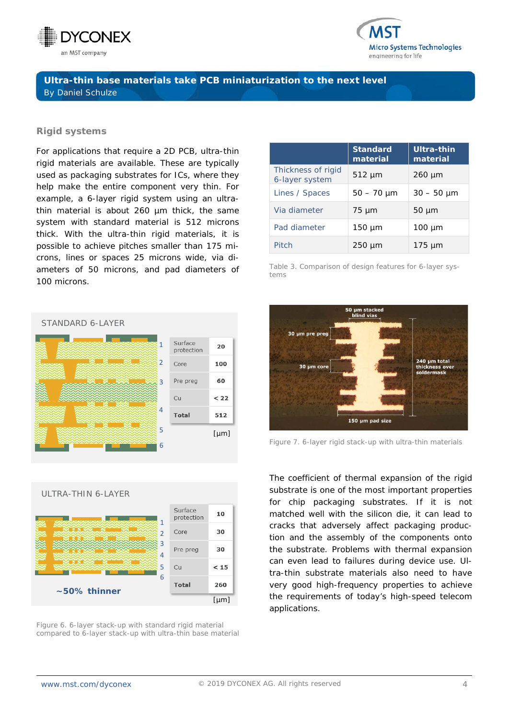



#### **Rigid systems**

For applications that require a 2D PCB, ultra-thin rigid materials are available. These are typically used as packaging substrates for ICs, where they help make the entire component very thin. For example, a 6-layer rigid system using an ultrathin material is about 260 µm thick, the same system with standard material is 512 microns thick. With the ultra-thin rigid materials, it is possible to achieve pitches smaller than 175 microns, lines or spaces 25 microns wide, via diameters of 50 microns, and pad diameters of 100 microns.





*Figure 6. 6-layer stack-up with standard rigid material compared to 6-layer stack-up with ultra-thin base material*

|                                      | <b>Standard</b><br>material | Ultra-thin<br>material |
|--------------------------------------|-----------------------------|------------------------|
| Thickness of rigid<br>6-layer system | $512 \mu m$                 | $260 \mu m$            |
| Lines / Spaces                       | $50 - 70 \mu m$             | $30 - 50 \mu m$        |
| Via diameter                         | $75 \mu m$                  | $50 \mu m$             |
| Pad diameter                         | $150 \mu m$                 | $100 \mu m$            |
| Pitch                                | $250 \mu m$                 | $175 \mu m$            |

*Table 3. Comparison of design features for 6-layer systems*



*Figure 7. 6-layer rigid stack-up with ultra-thin materials*

The coefficient of thermal expansion of the rigid substrate is one of the most important properties for chip packaging substrates. If it is not matched well with the silicon die, it can lead to cracks that adversely affect packaging production and the assembly of the components onto the substrate. Problems with thermal expansion can even lead to failures during device use. Ultra-thin substrate materials also need to have very good high-frequency properties to achieve the requirements of today's high-speed telecom applications.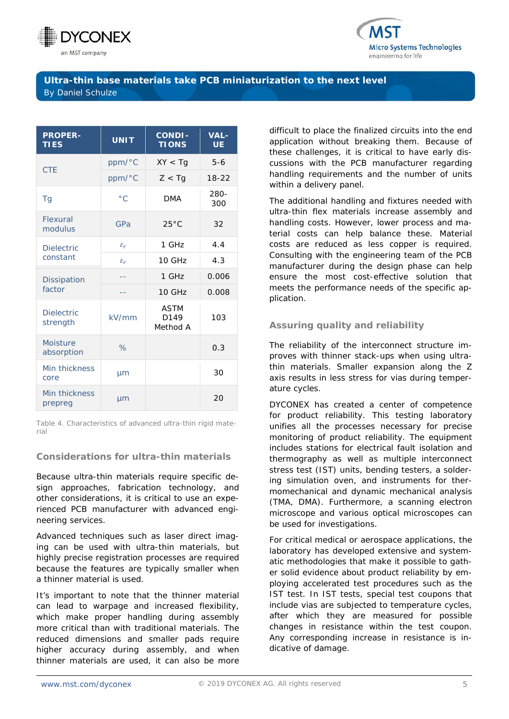



| <b>PROPER-</b><br><b>TIES</b> | <b>UNIT</b>     | <b>CONDI-</b><br><b>TIONS</b>   | <b>VAL-</b><br>UE. |
|-------------------------------|-----------------|---------------------------------|--------------------|
| <b>CTE</b>                    | ppm/°C          | XY < Tq                         | $5 - 6$            |
|                               | ppm/°C          | Z < Tq                          | $18-22$            |
| Tg                            | $^{\circ}$ C.   | <b>DMA</b>                      | 280-<br>300        |
| Flexural<br>modulus           | GPa             | $25^{\circ}$ C                  | 32                 |
| <b>Dielectric</b><br>constant | $\varepsilon_r$ | 1 GHz                           | 4.4                |
|                               | $\varepsilon_r$ | 10 GHz                          | 4.3                |
| <b>Dissipation</b><br>factor  |                 | 1 GHz                           | 0.006              |
|                               |                 | 10 GHz                          | 0.008              |
| <b>Dielectric</b><br>strength | kV/mm           | <b>ASTM</b><br>D149<br>Method A | 103                |
| Moisture<br>absorption        | $\%$            |                                 | 0.3                |
| Min thickness<br>core         | µm              |                                 | 30                 |
| Min thickness<br>prepreg      | µm              |                                 | 20                 |

*Table 4. Characteristics of advanced ultra-thin rigid material*

## **Considerations for ultra-thin materials**

Because ultra-thin materials require specific design approaches, fabrication technology, and other considerations, it is critical to use an experienced PCB manufacturer with advanced engineering services.

Advanced techniques such as laser direct imaging can be used with ultra-thin materials, but highly precise registration processes are required because the features are typically smaller when a thinner material is used.

It's important to note that the thinner material can lead to warpage and increased flexibility, which make proper handling during assembly more critical than with traditional materials. The reduced dimensions and smaller pads require higher accuracy during assembly, and when thinner materials are used, it can also be more

difficult to place the finalized circuits into the end application without breaking them. Because of these challenges, it is critical to have early discussions with the PCB manufacturer regarding handling requirements and the number of units within a delivery panel.

The additional handling and fixtures needed with ultra-thin flex materials increase assembly and handling costs. However, lower process and material costs can help balance these. Material costs are reduced as less copper is required. Consulting with the engineering team of the PCB manufacturer during the design phase can help ensure the most cost-effective solution that meets the performance needs of the specific application.

### **Assuring quality and reliability**

The reliability of the interconnect structure improves with thinner stack-ups when using ultrathin materials. Smaller expansion along the Z axis results in less stress for vias during temperature cycles.

DYCONEX has created a center of competence for product reliability. This testing laboratory unifies all the processes necessary for precise monitoring of product reliability. The equipment includes stations for electrical fault isolation and thermography as well as multiple interconnect stress test (IST) units, bending testers, a soldering simulation oven, and instruments for thermomechanical and dynamic mechanical analysis (TMA, DMA). Furthermore, a scanning electron microscope and various optical microscopes can be used for investigations.

For critical medical or aerospace applications, the laboratory has developed extensive and systematic methodologies that make it possible to gather solid evidence about product reliability by employing accelerated test procedures such as the IST test. In IST tests, special test coupons that include vias are subjected to temperature cycles, after which they are measured for possible changes in resistance within the test coupon. Any corresponding increase in resistance is indicative of damage.